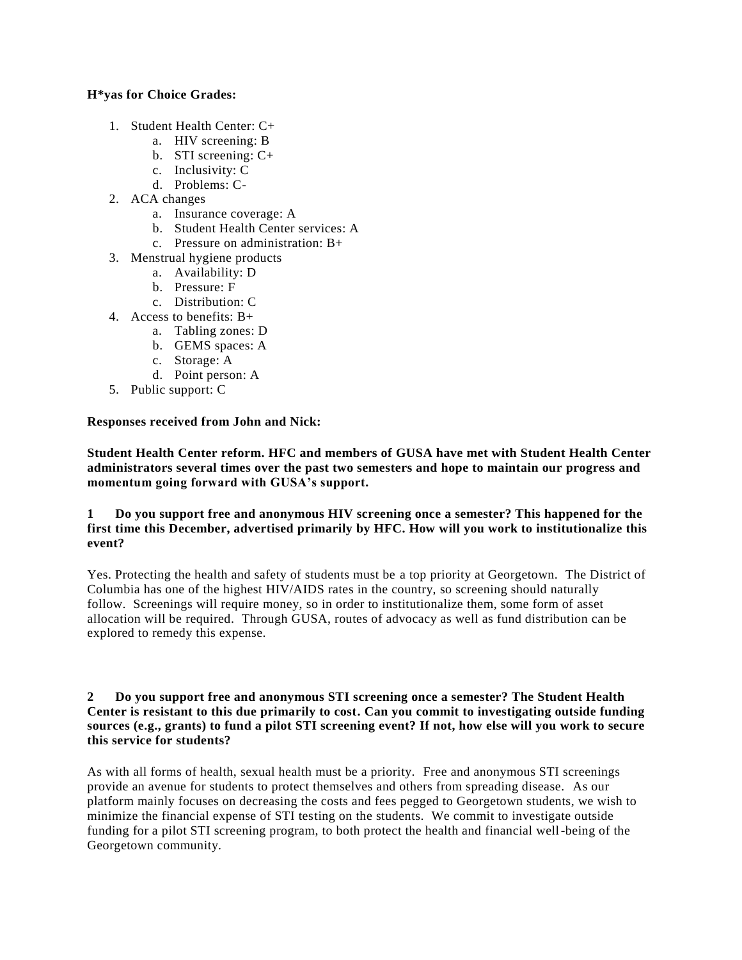### **H\*yas for Choice Grades:**

- 1. Student Health Center: C+
	- a. HIV screening: B
	- b. STI screening: C+
	- c. Inclusivity: C
	- d. Problems: C-
- 2. ACA changes
	- a. Insurance coverage: A
	- b. Student Health Center services: A
	- c. Pressure on administration: B+
- 3. Menstrual hygiene products
	- a. Availability: D
	- b. Pressure: F
	- c. Distribution: C
- 4. Access to benefits: B+
	- a. Tabling zones: D
	- b. GEMS spaces: A
	- c. Storage: A
	- d. Point person: A
- 5. Public support: C

# **Responses received from John and Nick:**

**Student Health Center reform. HFC and members of GUSA have met with Student Health Center administrators several times over the past two semesters and hope to maintain our progress and momentum going forward with GUSA's support.**

## **1 Do you support free and anonymous HIV screening once a semester? This happened for the first time this December, advertised primarily by HFC. How will you work to institutionalize this event?**

Yes. Protecting the health and safety of students must be a top priority at Georgetown. The District of Columbia has one of the highest HIV/AIDS rates in the country, so screening should naturally follow. Screenings will require money, so in order to institutionalize them, some form of asset allocation will be required. Through GUSA, routes of advocacy as well as fund distribution can be explored to remedy this expense.

#### **2 Do you support free and anonymous STI screening once a semester? The Student Health Center is resistant to this due primarily to cost. Can you commit to investigating outside funding sources (e.g., grants) to fund a pilot STI screening event? If not, how else will you work to secure this service for students?**

As with all forms of health, sexual health must be a priority. Free and anonymous STI screenings provide an avenue for students to protect themselves and others from spreading disease. As our platform mainly focuses on decreasing the costs and fees pegged to Georgetown students, we wish to minimize the financial expense of STI testing on the students. We commit to investigate outside funding for a pilot STI screening program, to both protect the health and financial well-being of the Georgetown community.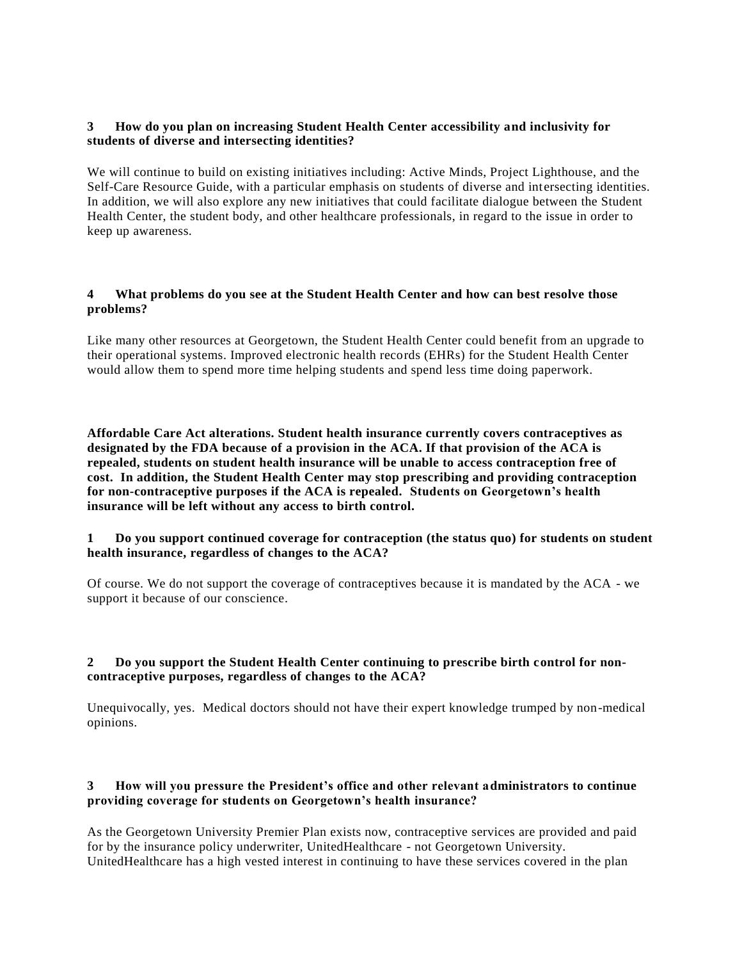## **3 How do you plan on increasing Student Health Center accessibility and inclusivity for students of diverse and intersecting identities?**

We will continue to build on existing initiatives including: Active Minds, Project Lighthouse, and the Self-Care Resource Guide, with a particular emphasis on students of diverse and intersecting identities. In addition, we will also explore any new initiatives that could facilitate dialogue between the Student Health Center, the student body, and other healthcare professionals, in regard to the issue in order to keep up awareness.

## **4 What problems do you see at the Student Health Center and how can best resolve those problems?**

Like many other resources at Georgetown, the Student Health Center could benefit from an upgrade to their operational systems. Improved electronic health records (EHRs) for the Student Health Center would allow them to spend more time helping students and spend less time doing paperwork.

**Affordable Care Act alterations. Student health insurance currently covers contraceptives as designated by the FDA because of a provision in the ACA. If that provision of the ACA is repealed, students on student health insurance will be unable to access contraception free of cost. In addition, the Student Health Center may stop prescribing and providing contraception for non-contraceptive purposes if the ACA is repealed. Students on Georgetown's health insurance will be left without any access to birth control.**

### **1 Do you support continued coverage for contraception (the status quo) for students on student health insurance, regardless of changes to the ACA?**

Of course. We do not support the coverage of contraceptives because it is mandated by the ACA - we support it because of our conscience.

### **2 Do you support the Student Health Center continuing to prescribe birth control for noncontraceptive purposes, regardless of changes to the ACA?**

Unequivocally, yes. Medical doctors should not have their expert knowledge trumped by non-medical opinions.

# **3 How will you pressure the President's office and other relevant administrators to continue providing coverage for students on Georgetown's health insurance?**

As the Georgetown University Premier Plan exists now, contraceptive services are provided and paid for by the insurance policy underwriter, UnitedHealthcare - not Georgetown University. UnitedHealthcare has a high vested interest in continuing to have these services covered in the plan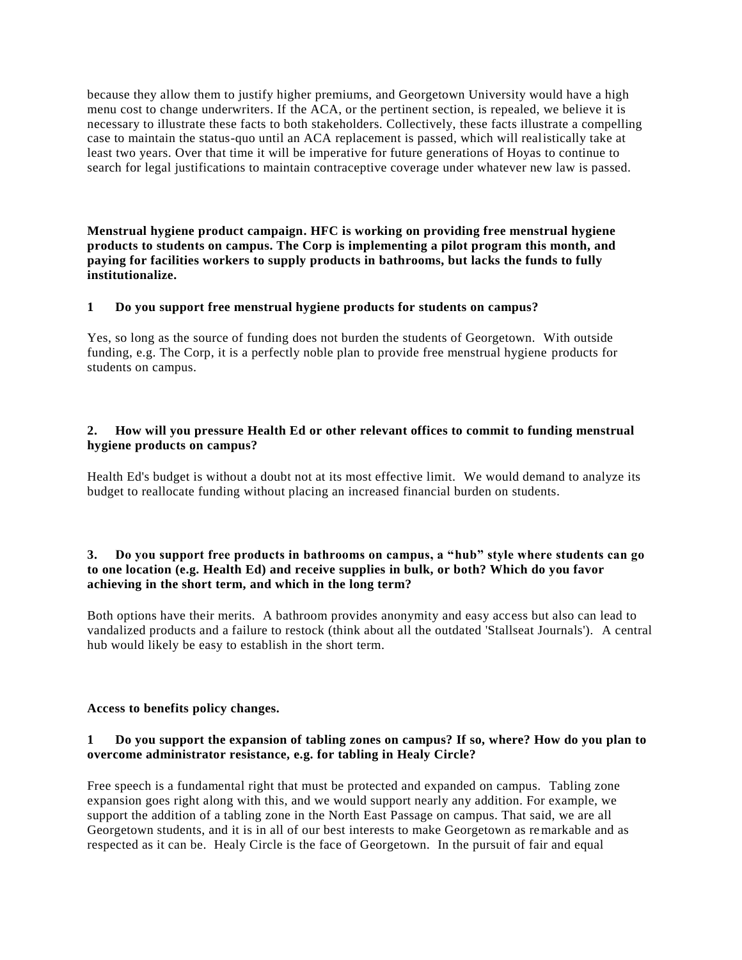because they allow them to justify higher premiums, and Georgetown University would have a high menu cost to change underwriters. If the ACA, or the pertinent section, is repealed, we believe it is necessary to illustrate these facts to both stakeholders. Collectively, these facts illustrate a compelling case to maintain the status-quo until an ACA replacement is passed, which will realistically take at least two years. Over that time it will be imperative for future generations of Hoyas to continue to search for legal justifications to maintain contraceptive coverage under whatever new law is passed.

**Menstrual hygiene product campaign. HFC is working on providing free menstrual hygiene products to students on campus. The Corp is implementing a pilot program this month, and**  paying for facilities workers to supply products in bathrooms, but lacks the funds to fully **institutionalize.**

### **1 Do you support free menstrual hygiene products for students on campus?**

Yes, so long as the source of funding does not burden the students of Georgetown. With outside funding, e.g. The Corp, it is a perfectly noble plan to provide free menstrual hygiene products for students on campus.

## **2. How will you pressure Health Ed or other relevant offices to commit to funding menstrual hygiene products on campus?**

Health Ed's budget is without a doubt not at its most effective limit. We would demand to analyze its budget to reallocate funding without placing an increased financial burden on students.

## **3. Do you support free products in bathrooms on campus, a "hub" style where students can go to one location (e.g. Health Ed) and receive supplies in bulk, or both? Which do you favor achieving in the short term, and which in the long term?**

Both options have their merits. A bathroom provides anonymity and easy access but also can lead to vandalized products and a failure to restock (think about all the outdated 'Stallseat Journals'). A central hub would likely be easy to establish in the short term.

#### **Access to benefits policy changes.**

## **1 Do you support the expansion of tabling zones on campus? If so, where? How do you plan to overcome administrator resistance, e.g. for tabling in Healy Circle?**

Free speech is a fundamental right that must be protected and expanded on campus. Tabling zone expansion goes right along with this, and we would support nearly any addition. For example, we support the addition of a tabling zone in the North East Passage on campus. That said, we are all Georgetown students, and it is in all of our best interests to make Georgetown as remarkable and as respected as it can be. Healy Circle is the face of Georgetown. In the pursuit of fair and equal